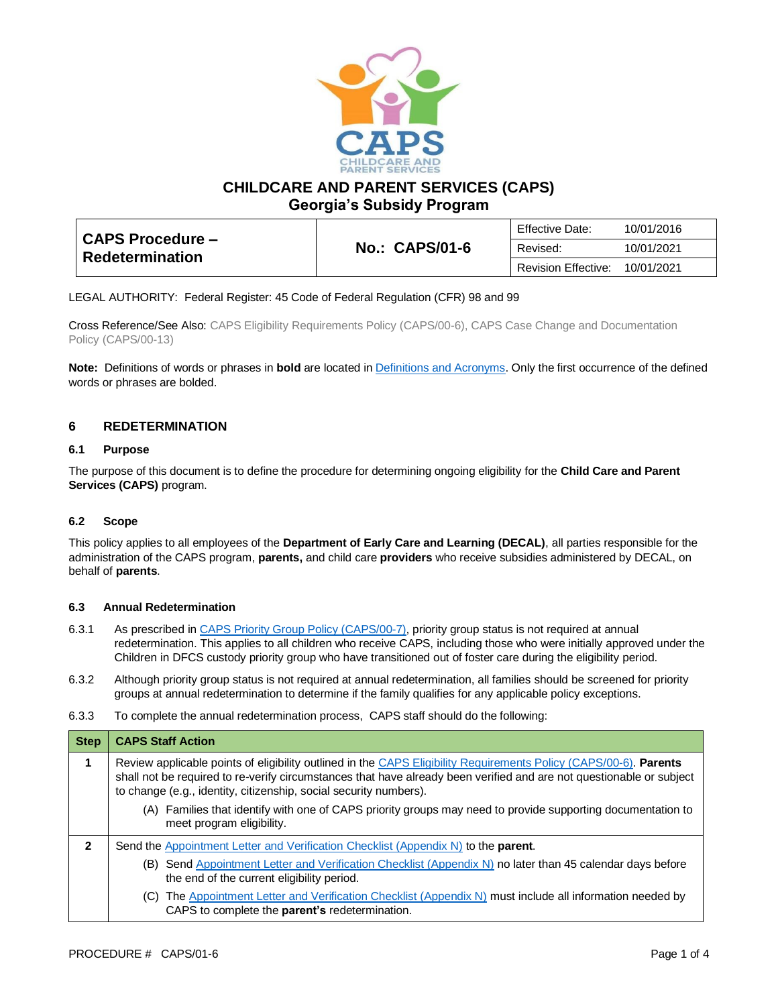

**CHILDCARE AND PARENT SERVICES (CAPS)**

**Georgia's Subsidy Program**

| <b>CAPS Procedure -</b><br><b>Redetermination</b> |                       | Effective Date:            | 10/01/2016 |
|---------------------------------------------------|-----------------------|----------------------------|------------|
|                                                   | <b>No.: CAPS/01-6</b> | Revised:                   | 10/01/2021 |
|                                                   |                       | <b>Revision Effective:</b> | 10/01/2021 |

LEGAL AUTHORITY: Federal Register: 45 Code of Federal Regulation (CFR) 98 and 99

Cross Reference/See Also: CAPS Eligibility Requirements Policy (CAPS/00-6), CAPS Case Change and Documentation Policy (CAPS/00-13)

**Note:** Definitions of words or phrases in **bold** are located i[n Definitions and Acronyms.](https://caps.decal.ga.gov/assets/downloads/CAPS/02-CAPS_Policy-Definitions%20and%20Acronyms.pdf) Only the first occurrence of the defined words or phrases are bolded.

## **6 REDETERMINATION**

#### **6.1 Purpose**

The purpose of this document is to define the procedure for determining ongoing eligibility for the **Child Care and Parent Services (CAPS)** program.

### **6.2 Scope**

This policy applies to all employees of the **Department of Early Care and Learning (DECAL)**, all parties responsible for the administration of the CAPS program, **parents,** and child care **providers** who receive subsidies administered by DECAL, on behalf of **parents**.

#### **6.3 Annual Redetermination**

- 6.3.1 As prescribed in [CAPS Priority Group Policy \(CAPS/00-7\),](https://caps.decal.ga.gov/assets/downloads/CAPS/07-CAPS_Policy-Priority%20Groups.pdf) priority group status is not required at annual redetermination. This applies to all children who receive CAPS, including those who were initially approved under the Children in DFCS custody priority group who have transitioned out of foster care during the eligibility period.
- 6.3.2 Although priority group status is not required at annual redetermination, all families should be screened for priority groups at annual redetermination to determine if the family qualifies for any applicable policy exceptions.
- 6.3.3 To complete the annual redetermination process, CAPS staff should do the following:

| <b>Step</b> | <b>CAPS Staff Action</b>                                                                                                                                                                                                                                                                                       |  |
|-------------|----------------------------------------------------------------------------------------------------------------------------------------------------------------------------------------------------------------------------------------------------------------------------------------------------------------|--|
|             | Review applicable points of eligibility outlined in the CAPS Eligibility Requirements Policy (CAPS/00-6). Parents<br>shall not be required to re-verify circumstances that have already been verified and are not questionable or subject<br>to change (e.g., identity, citizenship, social security numbers). |  |
|             | (A) Families that identify with one of CAPS priority groups may need to provide supporting documentation to<br>meet program eligibility.                                                                                                                                                                       |  |
| 2           | Send the Appointment Letter and Verification Checklist (Appendix N) to the <b>parent</b> .                                                                                                                                                                                                                     |  |
|             | (B) Send Appointment Letter and Verification Checklist (Appendix N) no later than 45 calendar days before<br>the end of the current eligibility period.                                                                                                                                                        |  |
|             | (C) The Appointment Letter and Verification Checklist (Appendix N) must include all information needed by<br>CAPS to complete the parent's redetermination.                                                                                                                                                    |  |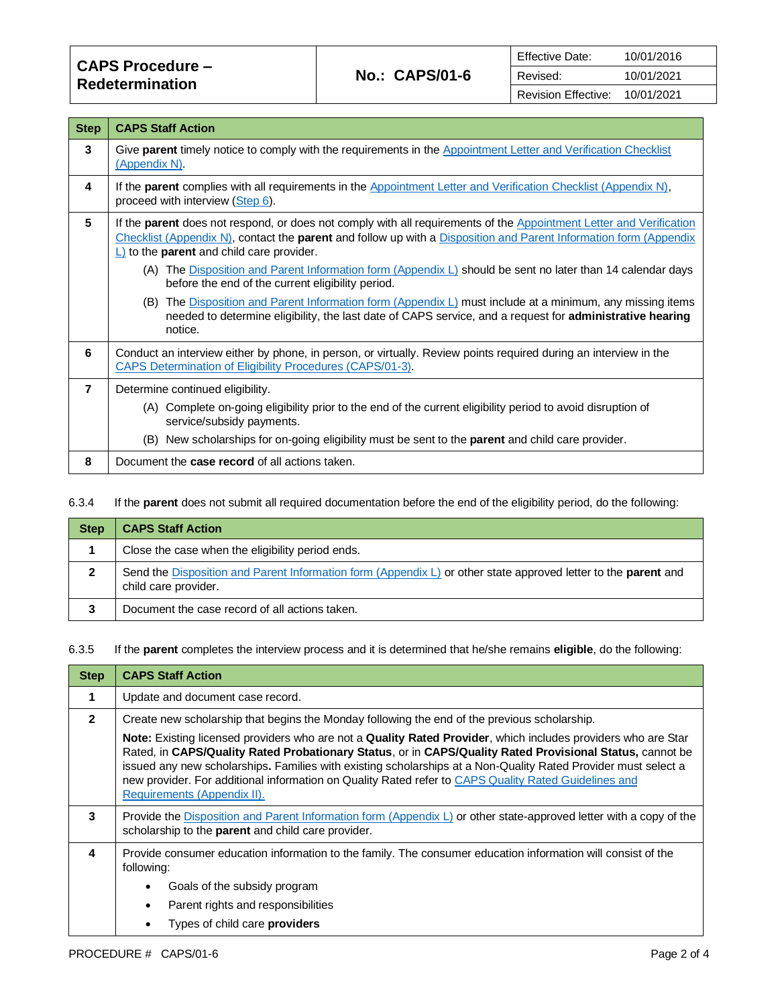| <b>CAPS Procedure -</b><br><b>Redetermination</b> | <b>No.: CAPS/01-6</b> | Effective Date:            | 10/01/2016 |
|---------------------------------------------------|-----------------------|----------------------------|------------|
|                                                   |                       | Revised:                   | 10/01/2021 |
|                                                   |                       | <b>Revision Effective:</b> | 10/01/2021 |

| <b>Step</b>    | <b>CAPS Staff Action</b>                                                                                                                                                                                                                                                                                                 |
|----------------|--------------------------------------------------------------------------------------------------------------------------------------------------------------------------------------------------------------------------------------------------------------------------------------------------------------------------|
| 3              | Give parent timely notice to comply with the requirements in the Appointment Letter and Verification Checklist<br>(Appendix N).                                                                                                                                                                                          |
| 4              | If the parent complies with all requirements in the Appointment Letter and Verification Checklist (Appendix N),<br>proceed with interview (Step 6).                                                                                                                                                                      |
| 5              | If the <b>parent</b> does not respond, or does not comply with all requirements of the <b>Appointment</b> Letter and Verification<br>Checklist (Appendix $N$ ), contact the <b>parent</b> and follow up with a Disposition and Parent Information form (Appendix<br>$\Box$ to the <b>parent</b> and child care provider. |
|                | (A) The Disposition and Parent Information form (Appendix L) should be sent no later than 14 calendar days<br>before the end of the current eligibility period.                                                                                                                                                          |
|                | (B) The Disposition and Parent Information form (Appendix L) must include at a minimum, any missing items<br>needed to determine eligibility, the last date of CAPS service, and a request for <b>administrative hearing</b><br>notice.                                                                                  |
| 6              | Conduct an interview either by phone, in person, or virtually. Review points required during an interview in the<br><b>CAPS Determination of Eligibility Procedures (CAPS/01-3).</b>                                                                                                                                     |
| $\overline{7}$ | Determine continued eligibility.                                                                                                                                                                                                                                                                                         |
|                | (A) Complete on-going eligibility prior to the end of the current eligibility period to avoid disruption of<br>service/subsidy payments.                                                                                                                                                                                 |
|                | (B) New scholarships for on-going eligibility must be sent to the parent and child care provider.                                                                                                                                                                                                                        |
| 8              | Document the <b>case record</b> of all actions taken.                                                                                                                                                                                                                                                                    |

## <span id="page-1-0"></span>6.3.4 If the **parent** does not submit all required documentation before the end of the eligibility period, do the following:

| <b>Step</b> | <b>CAPS Staff Action</b>                                                                                                                      |
|-------------|-----------------------------------------------------------------------------------------------------------------------------------------------|
|             | Close the case when the eligibility period ends.                                                                                              |
|             | Send the Disposition and Parent Information form (Appendix L) or other state approved letter to the <b>parent</b> and<br>child care provider. |
|             | Document the case record of all actions taken.                                                                                                |

6.3.5 If the **parent** completes the interview process and it is determined that he/she remains **eligible**, do the following:

| <b>CAPS Staff Action</b>                                                                                                                                                                                                                                                                                                                                                                                                                                                           |  |
|------------------------------------------------------------------------------------------------------------------------------------------------------------------------------------------------------------------------------------------------------------------------------------------------------------------------------------------------------------------------------------------------------------------------------------------------------------------------------------|--|
| Update and document case record.                                                                                                                                                                                                                                                                                                                                                                                                                                                   |  |
| Create new scholarship that begins the Monday following the end of the previous scholarship.                                                                                                                                                                                                                                                                                                                                                                                       |  |
| Note: Existing licensed providers who are not a Quality Rated Provider, which includes providers who are Star<br>Rated, in CAPS/Quality Rated Probationary Status, or in CAPS/Quality Rated Provisional Status, cannot be<br>issued any new scholarships. Families with existing scholarships at a Non-Quality Rated Provider must select a<br>new provider. For additional information on Quality Rated refer to CAPS Quality Rated Guidelines and<br>Requirements (Appendix II). |  |
| Provide the Disposition and Parent Information form (Appendix $L$ ) or other state-approved letter with a copy of the<br>scholarship to the <b>parent</b> and child care provider.                                                                                                                                                                                                                                                                                                 |  |
| Provide consumer education information to the family. The consumer education information will consist of the<br>following:<br>Goals of the subsidy program<br>Parent rights and responsibilities<br>Types of child care <b>providers</b>                                                                                                                                                                                                                                           |  |
|                                                                                                                                                                                                                                                                                                                                                                                                                                                                                    |  |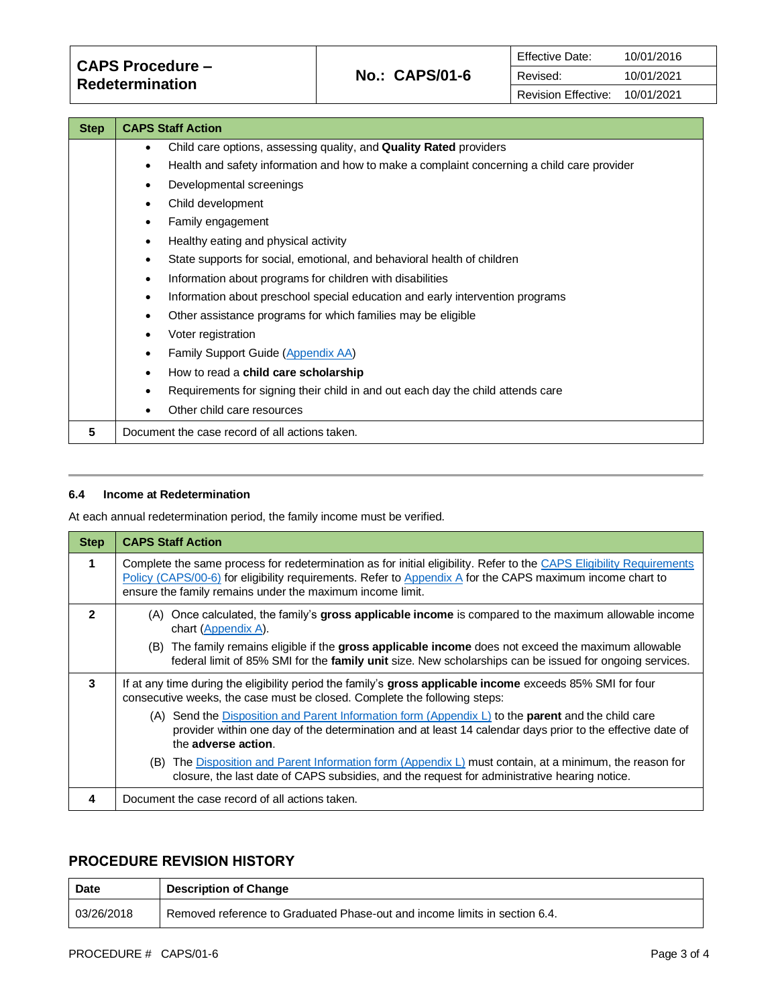| <b>Step</b> | <b>CAPS Staff Action</b>                                                                                |  |
|-------------|---------------------------------------------------------------------------------------------------------|--|
|             | Child care options, assessing quality, and <b>Quality Rated</b> providers<br>٠                          |  |
|             | Health and safety information and how to make a complaint concerning a child care provider<br>$\bullet$ |  |
|             | Developmental screenings<br>٠                                                                           |  |
|             | Child development<br>$\bullet$                                                                          |  |
|             | Family engagement<br>٠                                                                                  |  |
|             | Healthy eating and physical activity<br>٠                                                               |  |
|             | State supports for social, emotional, and behavioral health of children<br>٠                            |  |
|             | Information about programs for children with disabilities<br>$\bullet$                                  |  |
|             | Information about preschool special education and early intervention programs<br>$\bullet$              |  |
|             | Other assistance programs for which families may be eligible<br>٠                                       |  |
|             | Voter registration<br>٠                                                                                 |  |
|             | Family Support Guide (Appendix AA)<br>$\bullet$                                                         |  |
|             | How to read a child care scholarship<br>$\bullet$                                                       |  |
|             | Requirements for signing their child in and out each day the child attends care                         |  |
|             | Other child care resources                                                                              |  |
| 5           | Document the case record of all actions taken.                                                          |  |

#### **6.4 Income at Redetermination**

At each annual redetermination period, the family income must be verified.

| <b>Step</b>  | <b>CAPS Staff Action</b>                                                                                                                                                                                                                                                                       |
|--------------|------------------------------------------------------------------------------------------------------------------------------------------------------------------------------------------------------------------------------------------------------------------------------------------------|
|              | Complete the same process for redetermination as for initial eligibility. Refer to the CAPS Eligibility Requirements<br>Policy (CAPS/00-6) for eligibility requirements. Refer to Appendix A for the CAPS maximum income chart to<br>ensure the family remains under the maximum income limit. |
| $\mathbf{z}$ | Once calculated, the family's gross applicable income is compared to the maximum allowable income<br>(A)<br>chart (Appendix A).                                                                                                                                                                |
|              | (B) The family remains eligible if the gross applicable income does not exceed the maximum allowable<br>federal limit of 85% SMI for the family unit size. New scholarships can be issued for ongoing services.                                                                                |
| 3            | If at any time during the eligibility period the family's gross applicable income exceeds 85% SMI for four<br>consecutive weeks, the case must be closed. Complete the following steps:                                                                                                        |
|              | (A) Send the Disposition and Parent Information form (Appendix L) to the <b>parent</b> and the child care<br>provider within one day of the determination and at least 14 calendar days prior to the effective date of<br>the adverse action.                                                  |
|              | The Disposition and Parent Information form (Appendix $L$ ) must contain, at a minimum, the reason for<br>(B)<br>closure, the last date of CAPS subsidies, and the request for administrative hearing notice.                                                                                  |
| 4            | Document the case record of all actions taken.                                                                                                                                                                                                                                                 |

# **PROCEDURE REVISION HISTORY**

| Date       | <b>Description of Change</b>                                               |
|------------|----------------------------------------------------------------------------|
| 03/26/2018 | Removed reference to Graduated Phase-out and income limits in section 6.4. |